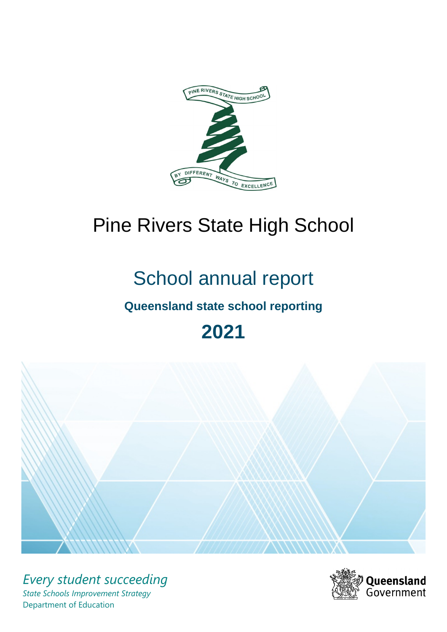

# Pine Rivers State High School

# School annual report

# **Queensland state school reporting**

# **2021**



*Every student succeeding State Schools Improvement Strategy* Department of Education

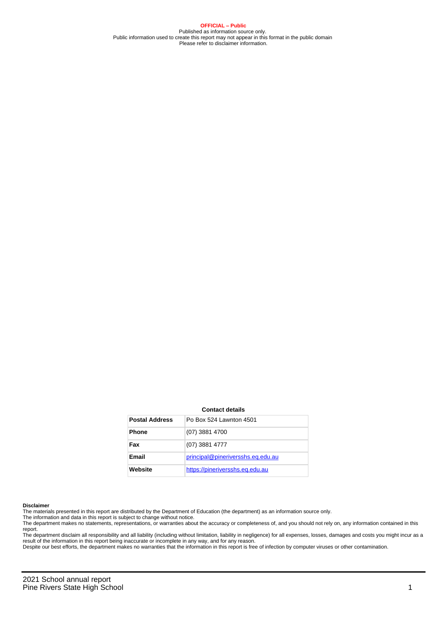**OFFICIAL – Public** Published as information source only. Public information used to create this report may not appear in this format in the public domain Please refer to disclaimer information.

#### **Contact details**

| <b>Postal Address</b> | Po Box 524 Lawnton 4501           |
|-----------------------|-----------------------------------|
| <b>Phone</b>          | (07) 3881 4700                    |
| Fax                   | (07) 3881 4777                    |
| Email                 | principal@pineriversshs.eq.edu.au |
| Website               | https://pineriversshs.eq.edu.au   |

#### **Disclaimer**

The materials presented in this report are distributed by the Department of Education (the department) as an information source only.

The information and data in this report is subject to change without notice.<br>The department makes no statements, representations, or warranties about the accuracy or completeness of, and you should not rely on, any informa report. The department disclaim all responsibility and all liability (including without limitation, liability in negligence) for all expenses, losses, damages and costs you might incur as a

result of the information in this report being inaccurate or incomplete in any way, and for any reason.

Despite our best efforts, the department makes no warranties that the information in this report is free of infection by computer viruses or other contamination.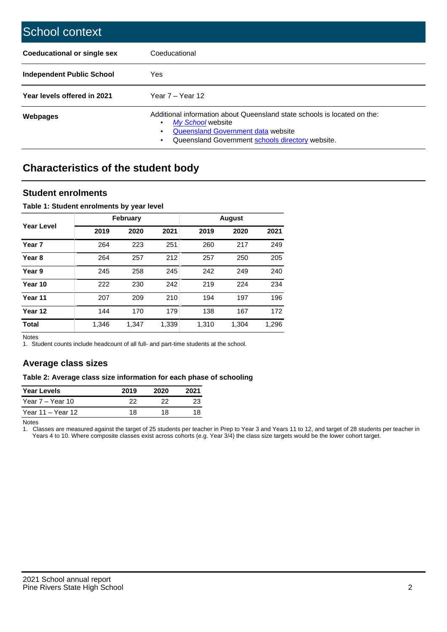| School context                     |                                                                                                                                                                                                   |
|------------------------------------|---------------------------------------------------------------------------------------------------------------------------------------------------------------------------------------------------|
| <b>Coeducational or single sex</b> | Coeducational                                                                                                                                                                                     |
| Independent Public School          | <b>Yes</b>                                                                                                                                                                                        |
| Year levels offered in 2021        | Year $7 -$ Year 12                                                                                                                                                                                |
| Webpages                           | Additional information about Queensland state schools is located on the:<br>My School website<br>٠<br>Queensland Government data website<br>Queensland Government schools directory website.<br>٠ |

# **Characteristics of the student body**

## **Student enrolments**

### **Table 1: Student enrolments by year level**

|                   |       | <b>February</b> |       |       | <b>August</b> |       |
|-------------------|-------|-----------------|-------|-------|---------------|-------|
| <b>Year Level</b> | 2019  | 2020            | 2021  | 2019  | 2020          | 2021  |
| Year <sub>7</sub> | 264   | 223             | 251   | 260   | 217           | 249   |
| Year <sub>8</sub> | 264   | 257             | 212   | 257   | 250           | 205   |
| Year 9            | 245   | 258             | 245   | 242   | 249           | 240   |
| Year 10           | 222   | 230             | 242   | 219   | 224           | 234   |
| Year 11           | 207   | 209             | 210   | 194   | 197           | 196   |
| Year 12           | 144   | 170             | 179   | 138   | 167           | 172   |
| <b>Total</b>      | 1,346 | 1,347           | 1,339 | 1,310 | 1,304         | 1,296 |

Notes

1. Student counts include headcount of all full- and part-time students at the school.

# **Average class sizes**

#### **Table 2: Average class size information for each phase of schooling**

| <b>Year Levels</b> | 2019 | 2020 | 2021 |
|--------------------|------|------|------|
| Year 7 – Year 10   | 22   | つつ   |      |
| Year 11 – Year 12  | 18   | 18   |      |

Notes

1. Classes are measured against the target of 25 students per teacher in Prep to Year 3 and Years 11 to 12, and target of 28 students per teacher in Years 4 to 10. Where composite classes exist across cohorts (e.g. Year 3/4) the class size targets would be the lower cohort target.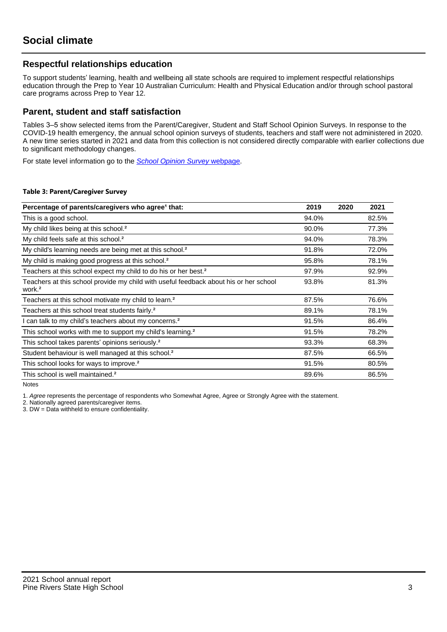# **Respectful relationships education**

To support students' learning, health and wellbeing all state schools are required to implement respectful relationships education through the Prep to Year 10 Australian Curriculum: Health and Physical Education and/or through school pastoral care programs across Prep to Year 12.

## **Parent, student and staff satisfaction**

Tables 3–5 show selected items from the Parent/Caregiver, Student and Staff School Opinion Surveys. In response to the COVID-19 health emergency, the annual school opinion surveys of students, teachers and staff were not administered in 2020. A new time series started in 2021 and data from this collection is not considered directly comparable with earlier collections due to significant methodology changes.

For state level information go to the **[School Opinion Survey](https://qed.qld.gov.au/publications/reports/statistics/schooling/schools/schoolopinionsurvey) webpage**.

#### **Table 3: Parent/Caregiver Survey**

| Percentage of parents/caregivers who agree <sup>1</sup> that:                                               | 2019  | 2020 | 2021  |
|-------------------------------------------------------------------------------------------------------------|-------|------|-------|
| This is a good school.                                                                                      | 94.0% |      | 82.5% |
| My child likes being at this school. <sup>2</sup>                                                           | 90.0% |      | 77.3% |
| My child feels safe at this school. <sup>2</sup>                                                            | 94.0% |      | 78.3% |
| My child's learning needs are being met at this school. <sup>2</sup>                                        | 91.8% |      | 72.0% |
| My child is making good progress at this school. <sup>2</sup>                                               | 95.8% |      | 78.1% |
| Teachers at this school expect my child to do his or her best. <sup>2</sup>                                 | 97.9% |      | 92.9% |
| Teachers at this school provide my child with useful feedback about his or her school<br>work. <sup>2</sup> | 93.8% |      | 81.3% |
| Teachers at this school motivate my child to learn. <sup>2</sup>                                            | 87.5% |      | 76.6% |
| Teachers at this school treat students fairly. <sup>2</sup>                                                 | 89.1% |      | 78.1% |
| can talk to my child's teachers about my concerns. <sup>2</sup>                                             | 91.5% |      | 86.4% |
| This school works with me to support my child's learning. <sup>2</sup>                                      | 91.5% |      | 78.2% |
| This school takes parents' opinions seriously. <sup>2</sup>                                                 | 93.3% |      | 68.3% |
| Student behaviour is well managed at this school. <sup>2</sup>                                              | 87.5% |      | 66.5% |
| This school looks for ways to improve. <sup>2</sup>                                                         | 91.5% |      | 80.5% |
| This school is well maintained. <sup>2</sup>                                                                | 89.6% |      | 86.5% |

Notes

1. Agree represents the percentage of respondents who Somewhat Agree, Agree or Strongly Agree with the statement.

2. Nationally agreed parents/caregiver items.

3. DW = Data withheld to ensure confidentiality.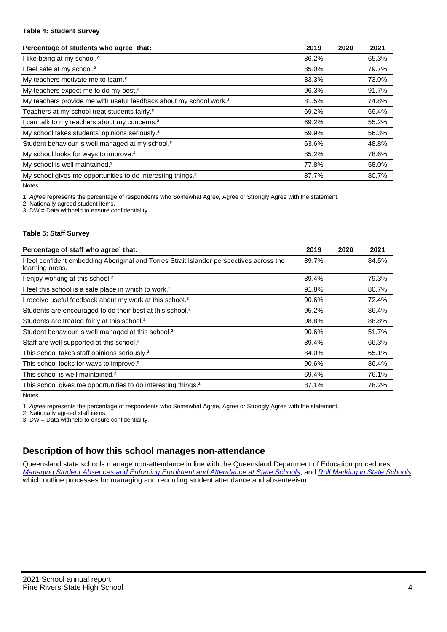#### **Table 4: Student Survey**

| Percentage of students who agree <sup>1</sup> that:                            | 2019  | 2020 | 2021  |
|--------------------------------------------------------------------------------|-------|------|-------|
| I like being at my school. <sup>2</sup>                                        | 86.2% |      | 65.3% |
| I feel safe at my school. <sup>2</sup>                                         | 85.0% |      | 79.7% |
| My teachers motivate me to learn. <sup>2</sup>                                 | 83.3% |      | 73.0% |
| My teachers expect me to do my best. <sup>2</sup>                              | 96.3% |      | 91.7% |
| My teachers provide me with useful feedback about my school work. <sup>2</sup> | 81.5% |      | 74.8% |
| Teachers at my school treat students fairly. <sup>2</sup>                      | 69.2% |      | 69.4% |
| I can talk to my teachers about my concerns. <sup>2</sup>                      | 69.2% |      | 55.2% |
| My school takes students' opinions seriously. <sup>2</sup>                     | 69.9% |      | 56.3% |
| Student behaviour is well managed at my school. <sup>2</sup>                   | 63.6% |      | 48.8% |
| My school looks for ways to improve. <sup>2</sup>                              | 85.2% |      | 78.6% |
| My school is well maintained. <sup>2</sup>                                     | 77.8% |      | 58.0% |
| My school gives me opportunities to do interesting things. <sup>2</sup>        | 87.7% |      | 80.7% |

Notes

1. Agree represents the percentage of respondents who Somewhat Agree, Agree or Strongly Agree with the statement.

2. Nationally agreed student items.

3. DW = Data withheld to ensure confidentiality.

#### **Table 5: Staff Survey**

| Percentage of staff who agree <sup>1</sup> that:                                                            | 2019  | 2020 | 2021  |
|-------------------------------------------------------------------------------------------------------------|-------|------|-------|
| I feel confident embedding Aboriginal and Torres Strait Islander perspectives across the<br>learning areas. | 89.7% |      | 84.5% |
| I enjoy working at this school. <sup>2</sup>                                                                | 89.4% |      | 79.3% |
| I feel this school is a safe place in which to work. <sup>2</sup>                                           | 91.8% |      | 80.7% |
| I receive useful feedback about my work at this school. <sup>2</sup>                                        | 90.6% |      | 72.4% |
| Students are encouraged to do their best at this school. <sup>2</sup>                                       | 95.2% |      | 86.4% |
| Students are treated fairly at this school. <sup>2</sup>                                                    | 98.8% |      | 88.8% |
| Student behaviour is well managed at this school. <sup>2</sup>                                              | 90.6% |      | 51.7% |
| Staff are well supported at this school. <sup>2</sup>                                                       | 89.4% |      | 66.3% |
| This school takes staff opinions seriously. <sup>2</sup>                                                    | 84.0% |      | 65.1% |
| This school looks for ways to improve. <sup>2</sup>                                                         | 90.6% |      | 86.4% |
| This school is well maintained. <sup>2</sup>                                                                | 69.4% |      | 76.1% |
| This school gives me opportunities to do interesting things. <sup>2</sup>                                   | 87.1% |      | 78.2% |

Notes

1. Agree represents the percentage of respondents who Somewhat Agree, Agree or Strongly Agree with the statement.

2. Nationally agreed staff items.

3. DW = Data withheld to ensure confidentiality.

# **Description of how this school manages non-attendance**

Queensland state schools manage non-attendance in line with the Queensland Department of Education procedures: [Managing Student Absences and Enforcing Enrolment and Attendance at State Schools](https://ppr.qed.qld.gov.au/pp/managing-student-absences-and-enforcing-enrolment-and-attendance-at-state-schools-procedure); and [Roll Marking in State Schools,](https://ppr.qed.qld.gov.au/pp/roll-marking-in-state-schools-procedure) which outline processes for managing and recording student attendance and absenteeism.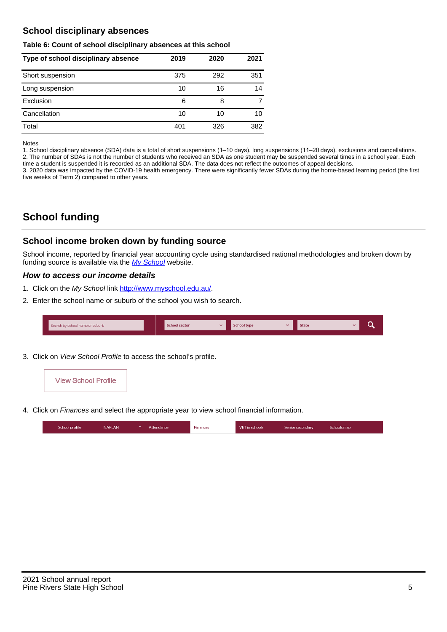# **School disciplinary absences**

#### **Table 6: Count of school disciplinary absences at this school**

| Type of school disciplinary absence | 2019 | 2020 | 2021 |
|-------------------------------------|------|------|------|
| Short suspension                    | 375  | 292  | 351  |
| Long suspension                     | 10   | 16   | 14   |
| Exclusion                           | 6    | 8    |      |
| Cancellation                        | 10   | 10   | 10   |
| Total                               | 401  | 326  | 382  |

#### Notes

1. School disciplinary absence (SDA) data is a total of short suspensions (1–10 days), long suspensions (11–20 days), exclusions and cancellations. 2. The number of SDAs is not the number of students who received an SDA as one student may be suspended several times in a school year. Each time a student is suspended it is recorded as an additional SDA. The data does not reflect the outcomes of appeal decisions.

3. 2020 data was impacted by the COVID-19 health emergency. There were significantly fewer SDAs during the home-based learning period (the first five weeks of Term 2) compared to other years.

# **School funding**

## **School income broken down by funding source**

School income, reported by financial year accounting cycle using standardised national methodologies and broken down by funding source is available via the  $My$  School website.

### **How to access our income details**

- 1. Click on the My School link <http://www.myschool.edu.au/>.
- 2. Enter the school name or suburb of the school you wish to search.

| Search by school name or suburb | <b>School sector</b> | <b>School type</b> | <b>State</b> | ∽ |
|---------------------------------|----------------------|--------------------|--------------|---|
|                                 |                      |                    |              |   |

3. Click on View School Profile to access the school's profile.



4. Click on Finances and select the appropriate year to view school financial information.

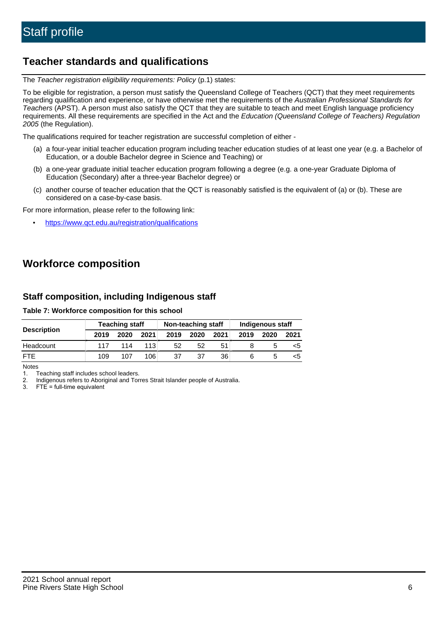# **Teacher standards and qualifications**

The Teacher registration eligibility requirements: Policy (p.1) states:

To be eligible for registration, a person must satisfy the Queensland College of Teachers (QCT) that they meet requirements regarding qualification and experience, or have otherwise met the requirements of the Australian Professional Standards for Teachers (APST). A person must also satisfy the QCT that they are suitable to teach and meet English language proficiency requirements. All these requirements are specified in the Act and the Education (Queensland College of Teachers) Regulation 2005 (the Regulation).

The qualifications required for teacher registration are successful completion of either -

- (a) a four-year initial teacher education program including teacher education studies of at least one year (e.g. a Bachelor of Education, or a double Bachelor degree in Science and Teaching) or
- (b) a one-year graduate initial teacher education program following a degree (e.g. a one-year Graduate Diploma of Education (Secondary) after a three-year Bachelor degree) or
- (c) another course of teacher education that the QCT is reasonably satisfied is the equivalent of (a) or (b). These are considered on a case-by-case basis.

For more information, please refer to the following link:

• <https://www.qct.edu.au/registration/qualifications>

# **Workforce composition**

# **Staff composition, including Indigenous staff**

### **Table 7: Workforce composition for this school**

|                    | <b>Teaching staff</b> |      |      | Non-teaching staff |      |      | <b>Indigenous staff</b> |      |      |
|--------------------|-----------------------|------|------|--------------------|------|------|-------------------------|------|------|
| <b>Description</b> | 2019                  | 2020 | 2021 | 2019               | 2020 | 2021 | 2019                    | 2020 | 2021 |
| Headcount          | 117                   | 114  | 113  | 52                 | 52   | 51   |                         |      |      |
| <b>FTE</b>         | 109                   | 107  | 106  | 37                 | 37   | 36   |                         |      |      |

Notes

1. Teaching staff includes school leaders.

2. Indigenous refers to Aboriginal and Torres Strait Islander people of Australia.

3. FTE = full-time equivalent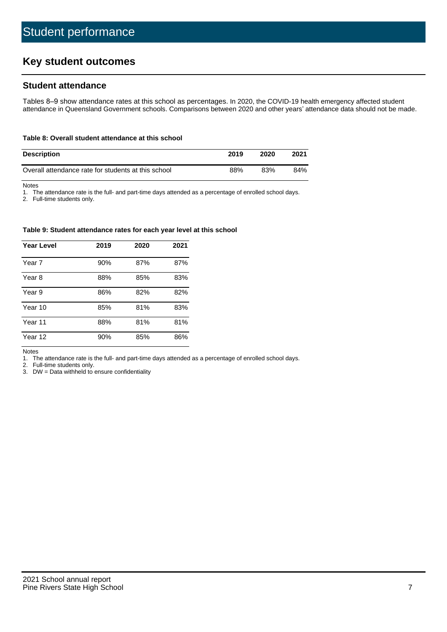# **Key student outcomes**

## **Student attendance**

Tables 8–9 show attendance rates at this school as percentages. In 2020, the COVID-19 health emergency affected student attendance in Queensland Government schools. Comparisons between 2020 and other years' attendance data should not be made.

#### **Table 8: Overall student attendance at this school**

| <b>Description</b>                                  | 2019 | 2020 | 2021 |
|-----------------------------------------------------|------|------|------|
| Overall attendance rate for students at this school | 88%  | 83%  | 84%  |

Notes

1. The attendance rate is the full- and part-time days attended as a percentage of enrolled school days.

2. Full-time students only.

#### **Table 9: Student attendance rates for each year level at this school**

| <b>Year Level</b> | 2019 | 2020 | 2021 |
|-------------------|------|------|------|
| Year 7            | 90%  | 87%  | 87%  |
| Year 8            | 88%  | 85%  | 83%  |
| Year 9            | 86%  | 82%  | 82%  |
| Year 10           | 85%  | 81%  | 83%  |
| Year 11           | 88%  | 81%  | 81%  |
| Year 12           | 90%  | 85%  | 86%  |

Notes

1. The attendance rate is the full- and part-time days attended as a percentage of enrolled school days.

2. Full-time students only.

3. DW = Data withheld to ensure confidentiality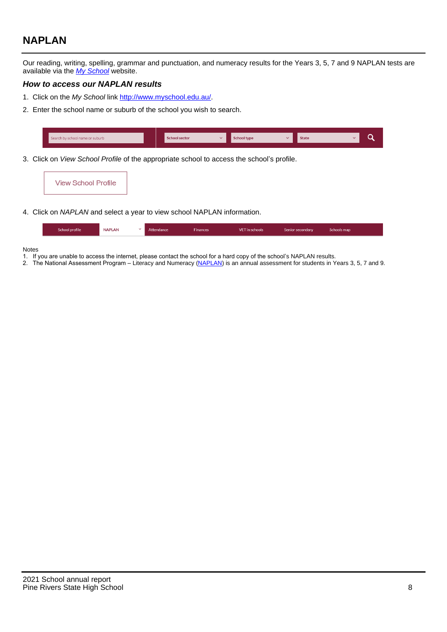# **NAPLAN**

Our reading, writing, spelling, grammar and punctuation, and numeracy results for the Years 3, 5, 7 and 9 NAPLAN tests are available via the [My School](http://www.myschool.edu.au/) website.

## **How to access our NAPLAN results**

- 1. Click on the My School link <http://www.myschool.edu.au/>.
- 2. Enter the school name or suburb of the school you wish to search.

|   | Search by school name or suburb |  | School sector |  | <b>School type</b> |          | <b>State</b> |  |
|---|---------------------------------|--|---------------|--|--------------------|----------|--------------|--|
| . |                                 |  |               |  | $\cdots$           | $\cdots$ |              |  |

3. Click on View School Profile of the appropriate school to access the school's profile.

| <b>View School Profile</b> |
|----------------------------|
|----------------------------|

4. Click on NAPLAN and select a year to view school NAPLAN information.

|  | School profile | <b>NAPLAN</b><br>$\sim$ 1 | Attendance | <b>Finances</b> | <b>VET</b> in schools | Senior secondary | Schools map |
|--|----------------|---------------------------|------------|-----------------|-----------------------|------------------|-------------|
|--|----------------|---------------------------|------------|-----------------|-----------------------|------------------|-------------|

#### Notes

- 1. If you are unable to access the internet, please contact the school for a hard copy of the school's NAPLAN results.
- 2. The National Assessment Program Literacy and Numeracy ([NAPLAN\)](http://www.nap.edu.au/naplan) is an annual assessment for students in Years 3, 5, 7 and 9.